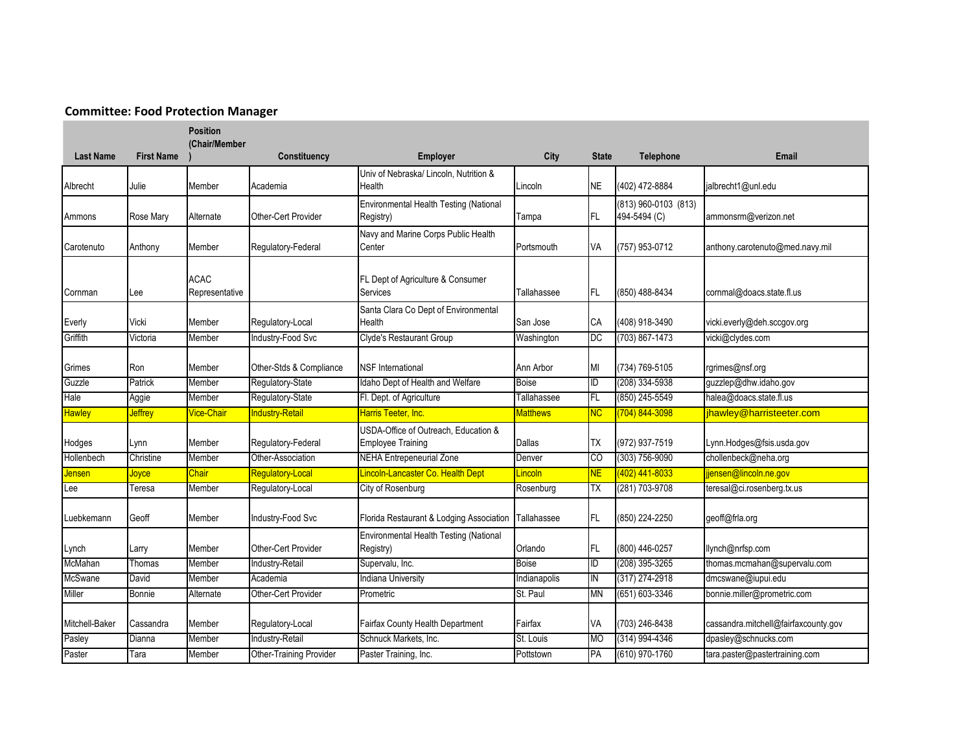## **Committee: Food Protection Manager**

|                  |                   | <b>Position</b><br>(Chair/Member |                         |                                                                  |                 |              |                                          |                                      |
|------------------|-------------------|----------------------------------|-------------------------|------------------------------------------------------------------|-----------------|--------------|------------------------------------------|--------------------------------------|
| <b>Last Name</b> | <b>First Name</b> |                                  | Constituency            | Employer                                                         | City            | <b>State</b> | Telephone                                | <b>Email</b>                         |
| Albrecht         | Julie             | Member                           | Academia                | Univ of Nebraska/ Lincoln. Nutrition &<br>Health                 | Lincoln         | <b>NE</b>    | (402) 472-8884                           | jalbrecht1@unl.edu                   |
| Ammons           | Rose Mary         | Alternate                        | Other-Cert Provider     | Environmental Health Testing (National<br>Registry)              | Tampa           | FL           | $(813)$ 960-0103 $(813)$<br>494-5494 (C) | ammonsrm@verizon.net                 |
| Carotenuto       | Anthony           | Member                           | Regulatory-Federal      | Navy and Marine Corps Public Health<br>Center                    | Portsmouth      | VA           | (757) 953-0712                           | anthony.carotenuto@med.navy.mil      |
| Cornman          | _ee               | <b>ACAC</b><br>Representative    |                         | FL Dept of Agriculture & Consumer<br>Services                    | Tallahassee     | FL           | (850) 488-8434                           | cornmal@doacs.state.fl.us            |
| Everly           | Vicki             | Member                           | Regulatory-Local        | Santa Clara Co Dept of Environmental<br>Health                   | San Jose        | СA           | (408) 918-3490                           | vicki.everly@deh.sccgov.org          |
| Griffith         | Victoria          | Member                           | Industry-Food Svc       | Clyde's Restaurant Group                                         | Washington      | DC           | $(703) 867 - 1473$                       | vicki@clydes.com                     |
| Grimes           | Ron               | Member                           | Other-Stds & Compliance | <b>NSF</b> International                                         | Ann Arbor       | MI           | (734) 769-5105                           | rgrimes@nsf.org                      |
| Guzzle           | Patrick           | Member                           | Regulatory-State        | Idaho Dept of Health and Welfare                                 | <b>Boise</b>    | ID           | (208) 334-5938                           | guzzlep@dhw.idaho.gov                |
| Hale             | Aggie             | Member                           | Regulatory-State        | Fl. Dept. of Agriculture                                         | Tallahassee     | FL           | (850) 245-5549                           | halea@doacs.state.fl.us              |
| <b>Hawley</b>    | <b>Jeffrey</b>    | <b>Vice-Chair</b>                | <b>Industry-Retail</b>  | Harris Teeter, Inc.                                              | <b>Matthews</b> | NC           | $(704) 844 - 3098$                       | jhawley@harristeeter.com             |
| Hodges           | Lynn              | Member                           | Regulatory-Federal      | USDA-Office of Outreach, Education &<br><b>Employee Training</b> | Dallas          | ТX           | (972) 937-7519                           | Lynn.Hodges@fsis.usda.gov            |
| Hollenbech       | Christine         | Member                           | Other-Association       | <b>NEHA Entrepeneurial Zone</b>                                  | Denver          | CO           | $(303) 756 - 9090$                       | chollenbeck@neha.org                 |
| <u>Jensen</u>    | Joyce             | Chair                            | Regulatory-Local        | Lincoln-Lancaster Co. Health Dept                                | <u>Lincoln</u>  | <b>NE</b>    | $(402)$ 441-8033                         | jjensen@lincoln.ne.gov               |
| Lee              | Teresa            | Member                           | Regulatory-Local        | City of Rosenburg                                                | Rosenburg       | TX           | (281) 703-9708                           | teresal@ci.rosenberg.tx.us           |
| Luebkemann       | Geoff             | Member                           | Industry-Food Svc       | Florida Restaurant & Lodging Association                         | Tallahassee     | FL           | (850) 224-2250                           | geoff@frla.org                       |
| Lynch            | Larry             | Member                           | Other-Cert Provider     | Environmental Health Testing (National<br>Registry)              | Orlando         | IFL.         | (800) 446-0257                           | llynch@nrfsp.com                     |
| McMahan          | Thomas            | Member                           | Industry-Retail         | Supervalu, Inc.                                                  | Boise           | Œ            | (208) 395-3265                           | thomas.mcmahan@supervalu.com         |
| McSwane          | David             | Member                           | Academia                | <b>Indiana University</b>                                        | Indianapolis    | IN           | (317) 274-2918                           | dmcswane@iupui.edu                   |
| Miller           | Bonnie            | Alternate                        | Other-Cert Provider     | Prometric                                                        | St. Paul        | <b>MN</b>    | $(651) 603 - 3346$                       | bonnie.miller@prometric.com          |
| Mitchell-Baker   | Cassandra         | Member                           | Regulatory-Local        | Fairfax County Health Department                                 | Fairfax         | VA           | (703) 246-8438                           | cassandra.mitchell@fairfaxcounty.gov |
| Pasley           | Dianna            | Member                           | Industry-Retail         | Schnuck Markets, Inc.                                            | St. Louis       | <b>MO</b>    | (314) 994-4346                           | dpasley@schnucks.com                 |
| Paster           | Tara              | Member                           | Other-Training Provider | Paster Training, Inc.                                            | Pottstown       | PA           | $(610)$ 970-1760                         | tara.paster@pastertraining.com       |